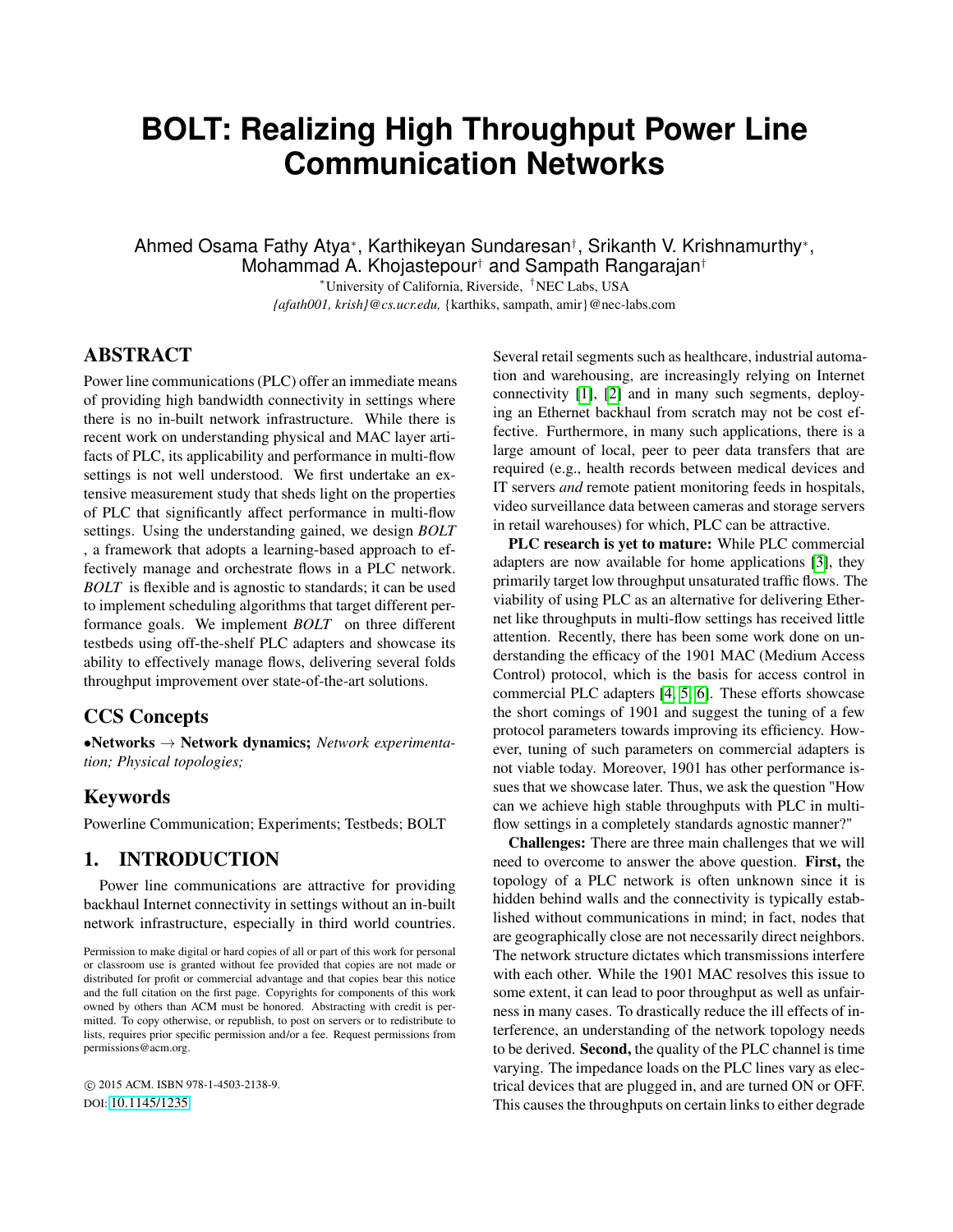# **BOLT: Realizing High Throughput Power Line Communication Networks**

Ahmed Osama Fathy Atya∗, Karthikeyan Sundaresan†, Srikanth V. Krishnamurthy\*, Mohammad A. Khojastepour† and Sampath Rangarajan†

> <sup>∗</sup>University of California, Riverside, †NEC Labs, USA *{afath001, krish}@cs.ucr.edu,* {karthiks, sampath, amir}@nec-labs.com

# ABSTRACT

Power line communications (PLC) offer an immediate means of providing high bandwidth connectivity in settings where there is no in-built network infrastructure. While there is recent work on understanding physical and MAC layer artifacts of PLC, its applicability and performance in multi-flow settings is not well understood. We first undertake an extensive measurement study that sheds light on the properties of PLC that significantly affect performance in multi-flow settings. Using the understanding gained, we design *BOLT* , a framework that adopts a learning-based approach to effectively manage and orchestrate flows in a PLC network. *BOLT* is flexible and is agnostic to standards; it can be used to implement scheduling algorithms that target different performance goals. We implement *BOLT* on three different testbeds using off-the-shelf PLC adapters and showcase its ability to effectively manage flows, delivering several folds throughput improvement over state-of-the-art solutions.

# CCS Concepts

•Networks → Network dynamics; *Network experimentation; Physical topologies;*

## Keywords

Powerline Communication; Experiments; Testbeds; BOLT

## 1. INTRODUCTION

Power line communications are attractive for providing backhaul Internet connectivity in settings without an in-built network infrastructure, especially in third world countries.

 c 2015 ACM. ISBN 978-1-4503-2138-9. DOI: 10.[1145/1235](10.1145/1235)

Several retail segments such as healthcare, industrial automation and warehousing, are increasingly relying on Internet connectivity [\[1\]](#page-12-0), [\[2\]](#page-12-1) and in many such segments, deploying an Ethernet backhaul from scratch may not be cost effective. Furthermore, in many such applications, there is a large amount of local, peer to peer data transfers that are required (e.g., health records between medical devices and IT servers *and* remote patient monitoring feeds in hospitals, video surveillance data between cameras and storage servers in retail warehouses) for which, PLC can be attractive.

PLC research is yet to mature: While PLC commercial adapters are now available for home applications [\[3\]](#page-12-2), they primarily target low throughput unsaturated traffic flows. The viability of using PLC as an alternative for delivering Ethernet like throughputs in multi-flow settings has received little attention. Recently, there has been some work done on understanding the efficacy of the 1901 MAC (Medium Access Control) protocol, which is the basis for access control in commercial PLC adapters [\[4,](#page-12-3) [5,](#page-12-4) [6\]](#page-12-5). These efforts showcase the short comings of 1901 and suggest the tuning of a few protocol parameters towards improving its efficiency. However, tuning of such parameters on commercial adapters is not viable today. Moreover, 1901 has other performance issues that we showcase later. Thus, we ask the question "How can we achieve high stable throughputs with PLC in multiflow settings in a completely standards agnostic manner?"

Challenges: There are three main challenges that we will need to overcome to answer the above question. First, the topology of a PLC network is often unknown since it is hidden behind walls and the connectivity is typically established without communications in mind; in fact, nodes that are geographically close are not necessarily direct neighbors. The network structure dictates which transmissions interfere with each other. While the 1901 MAC resolves this issue to some extent, it can lead to poor throughput as well as unfairness in many cases. To drastically reduce the ill effects of interference, an understanding of the network topology needs to be derived. Second, the quality of the PLC channel is time varying. The impedance loads on the PLC lines vary as electrical devices that are plugged in, and are turned ON or OFF. This causes the throughputs on certain links to either degrade

Permission to make digital or hard copies of all or part of this work for personal or classroom use is granted without fee provided that copies are not made or distributed for profit or commercial advantage and that copies bear this notice and the full citation on the first page. Copyrights for components of this work owned by others than ACM must be honored. Abstracting with credit is permitted. To copy otherwise, or republish, to post on servers or to redistribute to lists, requires prior specific permission and/or a fee. Request permissions from permissions@acm.org.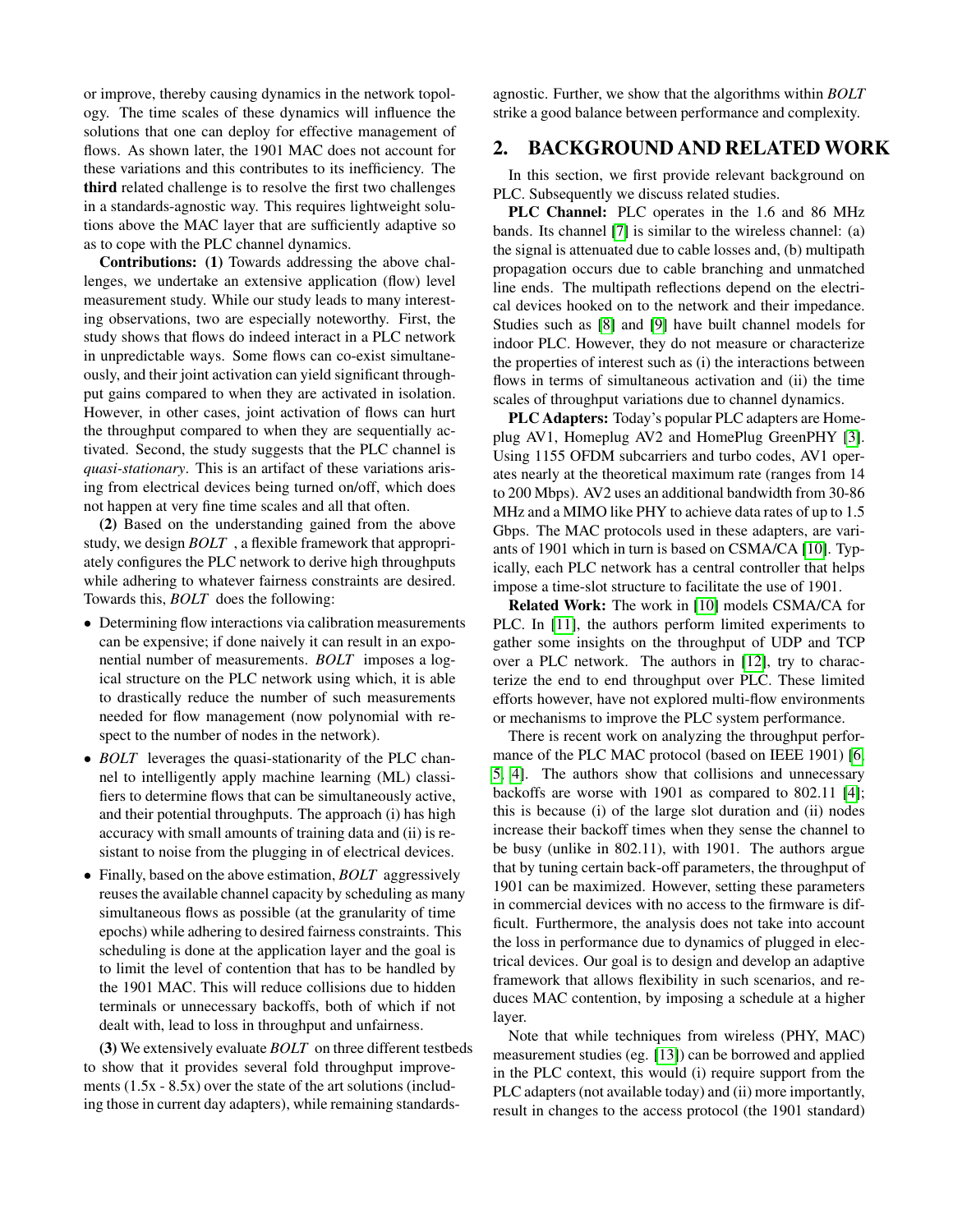or improve, thereby causing dynamics in the network topology. The time scales of these dynamics will influence the solutions that one can deploy for effective management of flows. As shown later, the 1901 MAC does not account for these variations and this contributes to its inefficiency. The third related challenge is to resolve the first two challenges in a standards-agnostic way. This requires lightweight solutions above the MAC layer that are sufficiently adaptive so as to cope with the PLC channel dynamics.

Contributions: (1) Towards addressing the above challenges, we undertake an extensive application (flow) level measurement study. While our study leads to many interesting observations, two are especially noteworthy. First, the study shows that flows do indeed interact in a PLC network in unpredictable ways. Some flows can co-exist simultaneously, and their joint activation can yield significant throughput gains compared to when they are activated in isolation. However, in other cases, joint activation of flows can hurt the throughput compared to when they are sequentially activated. Second, the study suggests that the PLC channel is *quasi-stationary*. This is an artifact of these variations arising from electrical devices being turned on/off, which does not happen at very fine time scales and all that often.

(2) Based on the understanding gained from the above study, we design *BOLT* , a flexible framework that appropriately configures the PLC network to derive high throughputs while adhering to whatever fairness constraints are desired. Towards this, *BOLT* does the following:

- Determining flow interactions via calibration measurements can be expensive; if done naively it can result in an exponential number of measurements. *BOLT* imposes a logical structure on the PLC network using which, it is able to drastically reduce the number of such measurements needed for flow management (now polynomial with respect to the number of nodes in the network).
- *BOLT* leverages the quasi-stationarity of the PLC channel to intelligently apply machine learning (ML) classifiers to determine flows that can be simultaneously active, and their potential throughputs. The approach (i) has high accuracy with small amounts of training data and (ii) is resistant to noise from the plugging in of electrical devices.
- Finally, based on the above estimation, *BOLT* aggressively reuses the available channel capacity by scheduling as many simultaneous flows as possible (at the granularity of time epochs) while adhering to desired fairness constraints. This scheduling is done at the application layer and the goal is to limit the level of contention that has to be handled by the 1901 MAC. This will reduce collisions due to hidden terminals or unnecessary backoffs, both of which if not dealt with, lead to loss in throughput and unfairness.

(3) We extensively evaluate *BOLT* on three different testbeds to show that it provides several fold throughput improvements (1.5x - 8.5x) over the state of the art solutions (including those in current day adapters), while remaining standardsagnostic. Further, we show that the algorithms within *BOLT* strike a good balance between performance and complexity.

## 2. BACKGROUND AND RELATED WORK

In this section, we first provide relevant background on PLC. Subsequently we discuss related studies.

PLC Channel: PLC operates in the 1.6 and 86 MHz bands. Its channel [\[7\]](#page-12-6) is similar to the wireless channel: (a) the signal is attenuated due to cable losses and, (b) multipath propagation occurs due to cable branching and unmatched line ends. The multipath reflections depend on the electrical devices hooked on to the network and their impedance. Studies such as [\[8\]](#page-12-7) and [\[9\]](#page-12-8) have built channel models for indoor PLC. However, they do not measure or characterize the properties of interest such as (i) the interactions between flows in terms of simultaneous activation and (ii) the time scales of throughput variations due to channel dynamics.

PLC Adapters: Today's popular PLC adapters are Homeplug AV1, Homeplug AV2 and HomePlug GreenPHY [\[3\]](#page-12-2). Using 1155 OFDM subcarriers and turbo codes, AV1 operates nearly at the theoretical maximum rate (ranges from 14 to 200 Mbps). AV2 uses an additional bandwidth from 30-86 MHz and a MIMO like PHY to achieve data rates of up to 1.5 Gbps. The MAC protocols used in these adapters, are variants of 1901 which in turn is based on CSMA/CA [\[10\]](#page-12-9). Typically, each PLC network has a central controller that helps impose a time-slot structure to facilitate the use of 1901.

Related Work: The work in [\[10\]](#page-12-9) models CSMA/CA for PLC. In [\[11\]](#page-12-10), the authors perform limited experiments to gather some insights on the throughput of UDP and TCP over a PLC network. The authors in [\[12\]](#page-12-11), try to characterize the end to end throughput over PLC. These limited efforts however, have not explored multi-flow environments or mechanisms to improve the PLC system performance.

There is recent work on analyzing the throughput perfor-mance of the PLC MAC protocol (based on IEEE 1901) [\[6,](#page-12-5) [5,](#page-12-4) [4\]](#page-12-3). The authors show that collisions and unnecessary backoffs are worse with 1901 as compared to 802.11 [\[4\]](#page-12-3); this is because (i) of the large slot duration and (ii) nodes increase their backoff times when they sense the channel to be busy (unlike in 802.11), with 1901. The authors argue that by tuning certain back-off parameters, the throughput of 1901 can be maximized. However, setting these parameters in commercial devices with no access to the firmware is difficult. Furthermore, the analysis does not take into account the loss in performance due to dynamics of plugged in electrical devices. Our goal is to design and develop an adaptive framework that allows flexibility in such scenarios, and reduces MAC contention, by imposing a schedule at a higher layer.

Note that while techniques from wireless (PHY, MAC) measurement studies (eg. [\[13\]](#page-12-12)) can be borrowed and applied in the PLC context, this would (i) require support from the PLC adapters (not available today) and (ii) more importantly, result in changes to the access protocol (the 1901 standard)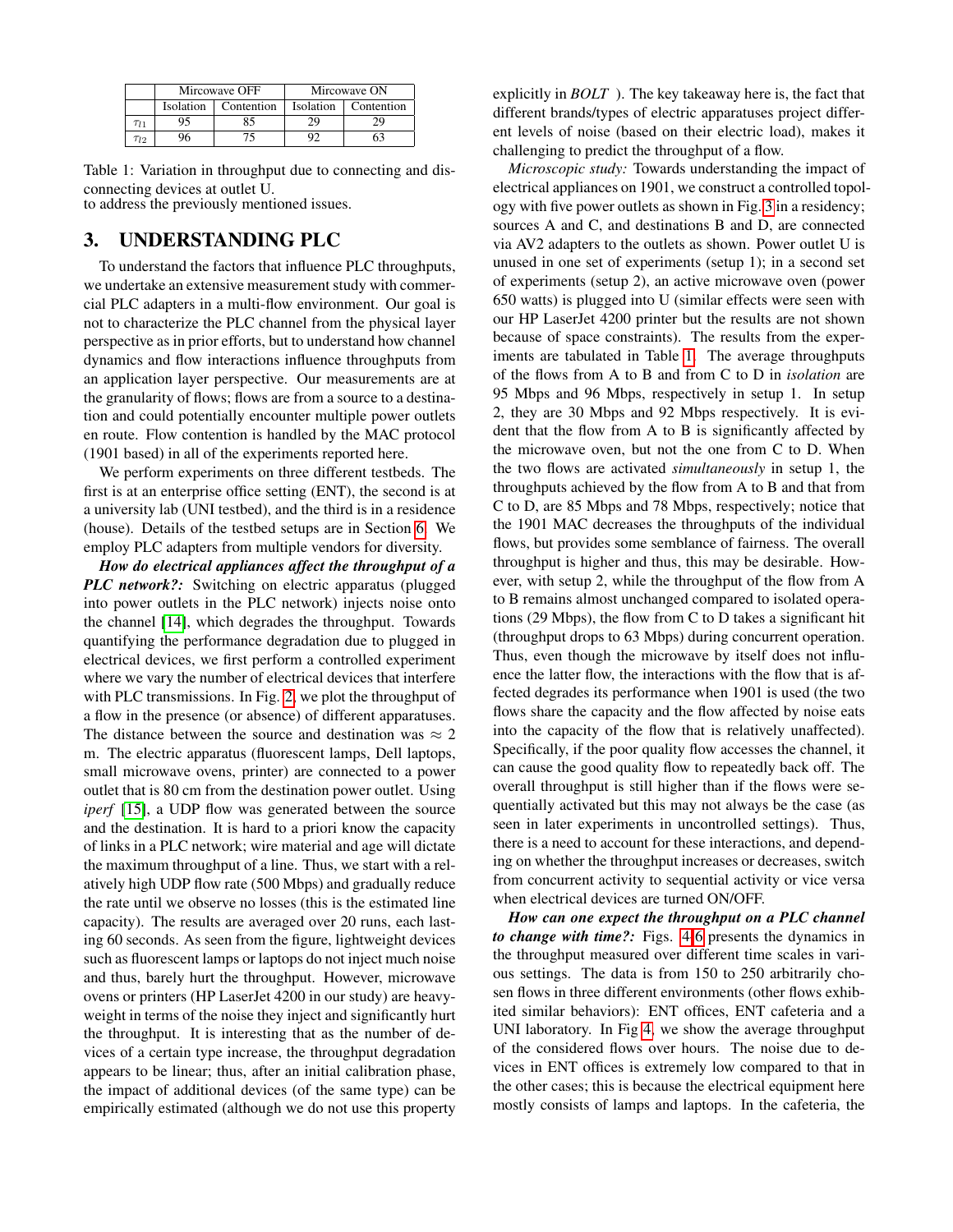<span id="page-2-0"></span>

|             | Mircowave OFF          | Mircowave ON |            |  |  |
|-------------|------------------------|--------------|------------|--|--|
|             | Isolation   Contention | Isolation    | Contention |  |  |
|             | 85                     |              | 29         |  |  |
| $\tau_{l2}$ |                        |              | ר ר        |  |  |

Table 1: Variation in throughput due to connecting and disconnecting devices at outlet U.

to address the previously mentioned issues.

# 3. UNDERSTANDING PLC

To understand the factors that influence PLC throughputs, we undertake an extensive measurement study with commercial PLC adapters in a multi-flow environment. Our goal is not to characterize the PLC channel from the physical layer perspective as in prior efforts, but to understand how channel dynamics and flow interactions influence throughputs from an application layer perspective. Our measurements are at the granularity of flows; flows are from a source to a destination and could potentially encounter multiple power outlets en route. Flow contention is handled by the MAC protocol (1901 based) in all of the experiments reported here.

We perform experiments on three different testbeds. The first is at an enterprise office setting (ENT), the second is at a university lab (UNI testbed), and the third is in a residence (house). Details of the testbed setups are in Section [6.](#page-9-0) We employ PLC adapters from multiple vendors for diversity.

*How do electrical appliances affect the throughput of a PLC network?:* Switching on electric apparatus (plugged into power outlets in the PLC network) injects noise onto the channel [\[14\]](#page-12-13), which degrades the throughput. Towards quantifying the performance degradation due to plugged in electrical devices, we first perform a controlled experiment where we vary the number of electrical devices that interfere with PLC transmissions. In Fig. [2,](#page-3-0) we plot the throughput of a flow in the presence (or absence) of different apparatuses. The distance between the source and destination was  $\approx 2$ m. The electric apparatus (fluorescent lamps, Dell laptops, small microwave ovens, printer) are connected to a power outlet that is 80 cm from the destination power outlet. Using *iperf* [\[15\]](#page-12-14), a UDP flow was generated between the source and the destination. It is hard to a priori know the capacity of links in a PLC network; wire material and age will dictate the maximum throughput of a line. Thus, we start with a relatively high UDP flow rate (500 Mbps) and gradually reduce the rate until we observe no losses (this is the estimated line capacity). The results are averaged over 20 runs, each lasting 60 seconds. As seen from the figure, lightweight devices such as fluorescent lamps or laptops do not inject much noise and thus, barely hurt the throughput. However, microwave ovens or printers (HP LaserJet 4200 in our study) are heavyweight in terms of the noise they inject and significantly hurt the throughput. It is interesting that as the number of devices of a certain type increase, the throughput degradation appears to be linear; thus, after an initial calibration phase, the impact of additional devices (of the same type) can be empirically estimated (although we do not use this property

explicitly in *BOLT* ). The key takeaway here is, the fact that different brands/types of electric apparatuses project different levels of noise (based on their electric load), makes it challenging to predict the throughput of a flow.

*Microscopic study:* Towards understanding the impact of electrical appliances on 1901, we construct a controlled topology with five power outlets as shown in Fig. [3](#page-3-0) in a residency; sources A and C, and destinations B and D, are connected via AV2 adapters to the outlets as shown. Power outlet U is unused in one set of experiments (setup 1); in a second set of experiments (setup 2), an active microwave oven (power 650 watts) is plugged into U (similar effects were seen with our HP LaserJet 4200 printer but the results are not shown because of space constraints). The results from the experiments are tabulated in Table [1.](#page-2-0) The average throughputs of the flows from A to B and from C to D in *isolation* are 95 Mbps and 96 Mbps, respectively in setup 1. In setup 2, they are 30 Mbps and 92 Mbps respectively. It is evident that the flow from A to B is significantly affected by the microwave oven, but not the one from C to D. When the two flows are activated *simultaneously* in setup 1, the throughputs achieved by the flow from A to B and that from C to D, are 85 Mbps and 78 Mbps, respectively; notice that the 1901 MAC decreases the throughputs of the individual flows, but provides some semblance of fairness. The overall throughput is higher and thus, this may be desirable. However, with setup 2, while the throughput of the flow from A to B remains almost unchanged compared to isolated operations (29 Mbps), the flow from C to D takes a significant hit (throughput drops to 63 Mbps) during concurrent operation. Thus, even though the microwave by itself does not influence the latter flow, the interactions with the flow that is affected degrades its performance when 1901 is used (the two flows share the capacity and the flow affected by noise eats into the capacity of the flow that is relatively unaffected). Specifically, if the poor quality flow accesses the channel, it can cause the good quality flow to repeatedly back off. The overall throughput is still higher than if the flows were sequentially activated but this may not always be the case (as seen in later experiments in uncontrolled settings). Thus, there is a need to account for these interactions, and depending on whether the throughput increases or decreases, switch from concurrent activity to sequential activity or vice versa when electrical devices are turned ON/OFF.

*How can one expect the throughput on a PLC channel to change with time?:* Figs. [4-6](#page-3-1) presents the dynamics in the throughput measured over different time scales in various settings. The data is from 150 to 250 arbitrarily chosen flows in three different environments (other flows exhibited similar behaviors): ENT offices, ENT cafeteria and a UNI laboratory. In Fig [4,](#page-3-1) we show the average throughput of the considered flows over hours. The noise due to devices in ENT offices is extremely low compared to that in the other cases; this is because the electrical equipment here mostly consists of lamps and laptops. In the cafeteria, the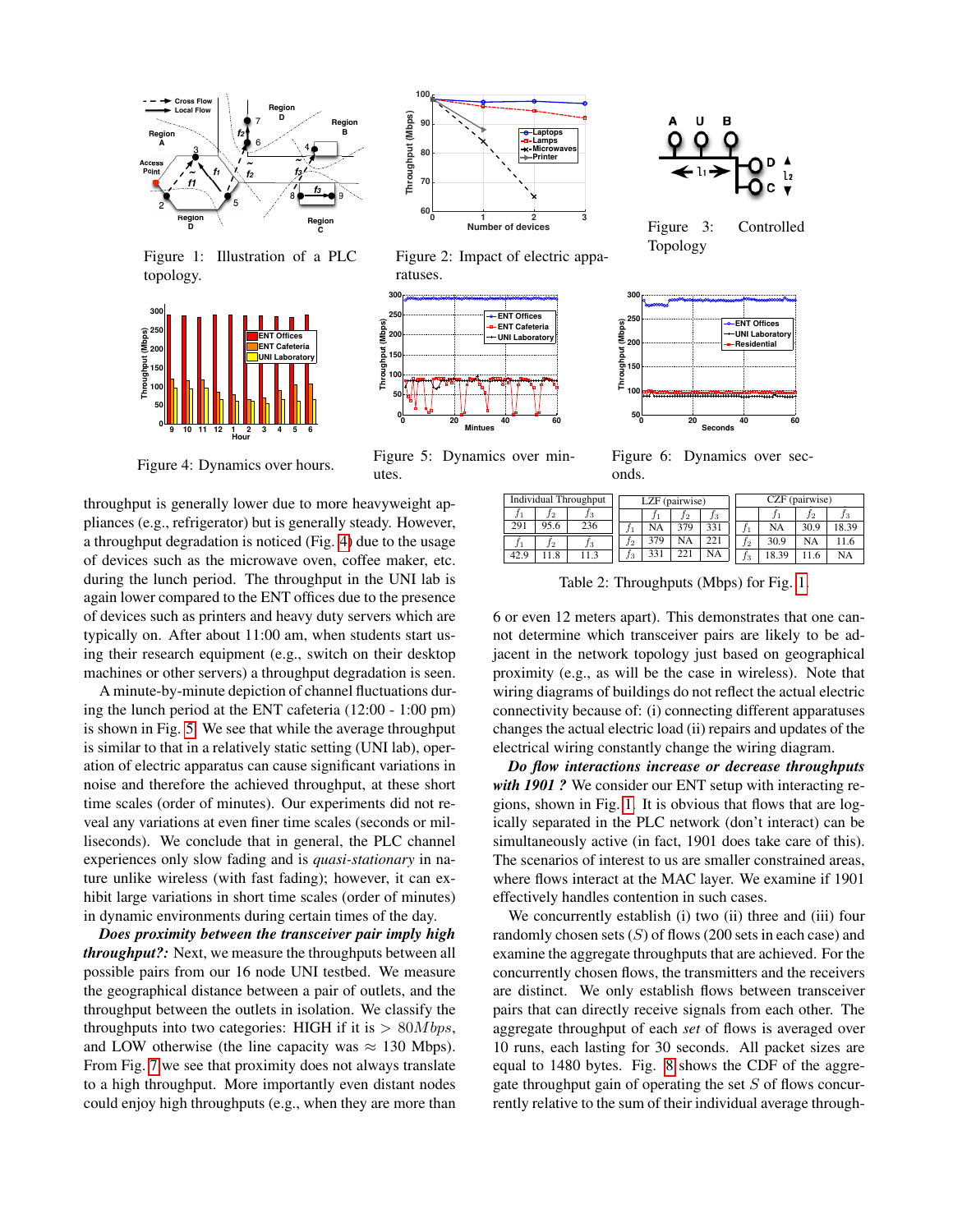<span id="page-3-0"></span>

Figure 1: Illustration of a PLC topology.

<span id="page-3-1"></span>

Figure 4: Dynamics over hours.



Figure 2: Impact of electric apparatuses.



Figure 5: Dynamics over minutes.



Figure 3: Controlled Topology



Figure 6: Dynamics over seconds.

throughput is generally lower due to more heavyweight appliances (e.g., refrigerator) but is generally steady. However, a throughput degradation is noticed (Fig. [4\)](#page-3-1) due to the usage of devices such as the microwave oven, coffee maker, etc. during the lunch period. The throughput in the UNI lab is again lower compared to the ENT offices due to the presence of devices such as printers and heavy duty servers which are typically on. After about 11:00 am, when students start using their research equipment (e.g., switch on their desktop machines or other servers) a throughput degradation is seen.

A minute-by-minute depiction of channel fluctuations during the lunch period at the ENT cafeteria (12:00 - 1:00 pm) is shown in Fig. [5.](#page-3-1) We see that while the average throughput is similar to that in a relatively static setting (UNI lab), operation of electric apparatus can cause significant variations in noise and therefore the achieved throughput, at these short time scales (order of minutes). Our experiments did not reveal any variations at even finer time scales (seconds or milliseconds). We conclude that in general, the PLC channel experiences only slow fading and is *quasi-stationary* in nature unlike wireless (with fast fading); however, it can exhibit large variations in short time scales (order of minutes) in dynamic environments during certain times of the day.

*Does proximity between the transceiver pair imply high throughput?:* Next, we measure the throughputs between all possible pairs from our 16 node UNI testbed. We measure the geographical distance between a pair of outlets, and the throughput between the outlets in isolation. We classify the throughputs into two categories: HIGH if it is  $> 80Mbps$ , and LOW otherwise (the line capacity was  $\approx 130$  Mbps). From Fig. [7](#page-4-0) we see that proximity does not always translate to a high throughput. More importantly even distant nodes could enjoy high throughputs (e.g., when they are more than

<span id="page-3-2"></span>

| <b>Individual Throughput</b> |      |      | LZF (pairwise) |     |     | CZF (pairwise) |    |       |      |           |
|------------------------------|------|------|----------------|-----|-----|----------------|----|-------|------|-----------|
|                              |      |      |                |     |     | JЗ             |    |       |      |           |
| 291                          | 95.6 | 236  |                | NA  | 379 | 331            |    | NA    | 30.9 | 18.39     |
|                              | 12   | 13   | 12             | 379 | NA  | 221            | J2 | 30.9  | NΑ   | 11.6      |
| 42.9                         | 1.8  | 11.3 | ŤЗ             | 331 | 221 | NA             | TЗ | 18.39 |      | <b>NA</b> |

Table 2: Throughputs (Mbps) for Fig. [1.](#page-3-0)

6 or even 12 meters apart). This demonstrates that one cannot determine which transceiver pairs are likely to be adjacent in the network topology just based on geographical proximity (e.g., as will be the case in wireless). Note that wiring diagrams of buildings do not reflect the actual electric connectivity because of: (i) connecting different apparatuses changes the actual electric load (ii) repairs and updates of the electrical wiring constantly change the wiring diagram.

*Do flow interactions increase or decrease throughputs with 1901 ?* We consider our ENT setup with interacting regions, shown in Fig. [1.](#page-3-0) It is obvious that flows that are logically separated in the PLC network (don't interact) can be simultaneously active (in fact, 1901 does take care of this). The scenarios of interest to us are smaller constrained areas, where flows interact at the MAC layer. We examine if 1901 effectively handles contention in such cases.

We concurrently establish (i) two (ii) three and (iii) four randomly chosen sets  $(S)$  of flows (200 sets in each case) and examine the aggregate throughputs that are achieved. For the concurrently chosen flows, the transmitters and the receivers are distinct. We only establish flows between transceiver pairs that can directly receive signals from each other. The aggregate throughput of each *set* of flows is averaged over 10 runs, each lasting for 30 seconds. All packet sizes are equal to 1480 bytes. Fig. [8](#page-4-0) shows the CDF of the aggregate throughput gain of operating the set  $S$  of flows concurrently relative to the sum of their individual average through-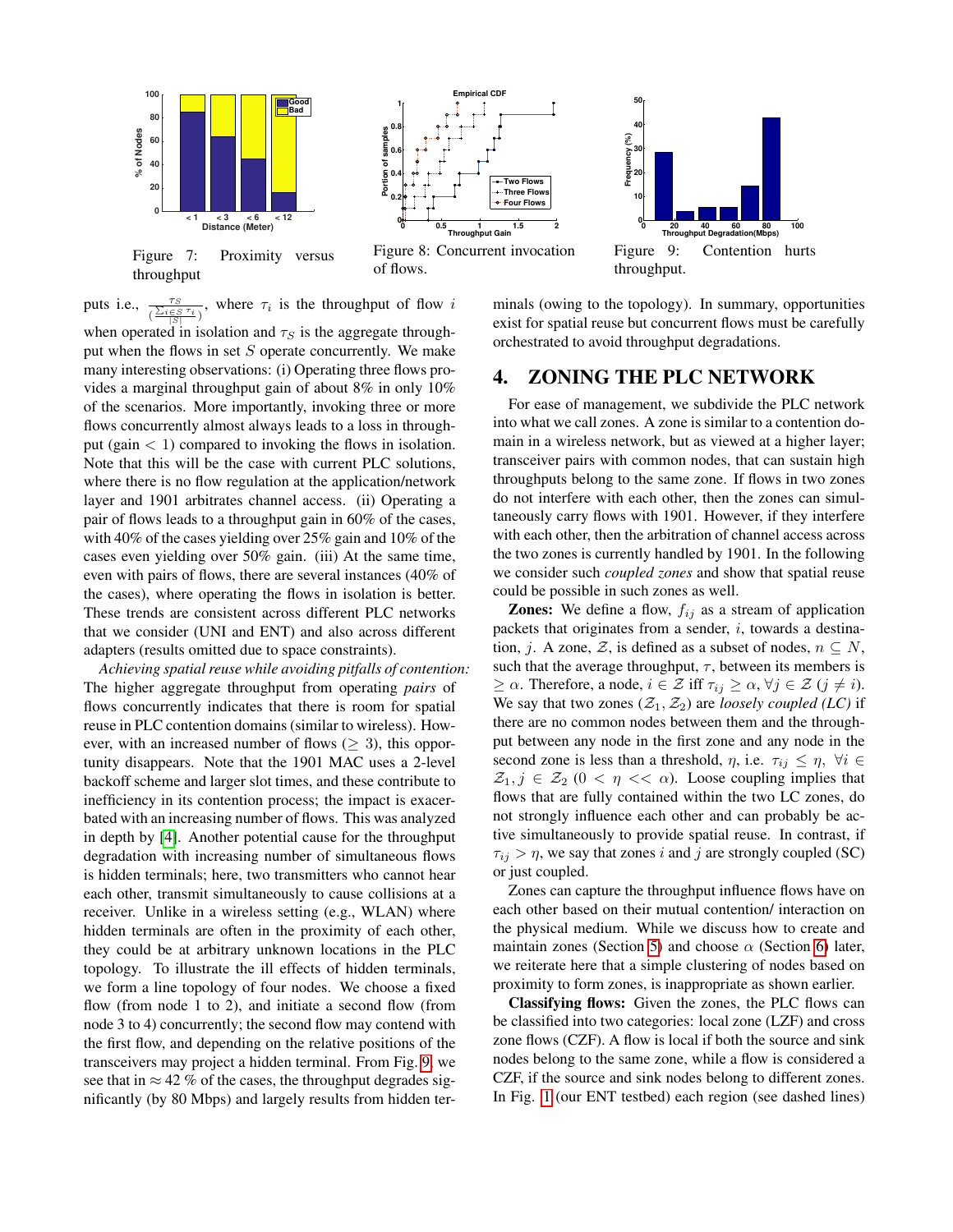<span id="page-4-0"></span>

puts i.e.,  $\frac{\tau_S}{(\frac{\sum_i \epsilon_s \tau_i}{|S|})}$ , where  $\tau_i$  is the throughput of flow i when operated in isolation and  $\tau<sub>S</sub>$  is the aggregate throughput when the flows in set  $S$  operate concurrently. We make many interesting observations: (i) Operating three flows provides a marginal throughput gain of about 8% in only 10% of the scenarios. More importantly, invoking three or more flows concurrently almost always leads to a loss in throughput (gain  $\lt 1$ ) compared to invoking the flows in isolation. Note that this will be the case with current PLC solutions, where there is no flow regulation at the application/network layer and 1901 arbitrates channel access. (ii) Operating a pair of flows leads to a throughput gain in 60% of the cases, with 40% of the cases yielding over 25% gain and 10% of the cases even yielding over 50% gain. (iii) At the same time, even with pairs of flows, there are several instances (40% of the cases), where operating the flows in isolation is better. These trends are consistent across different PLC networks that we consider (UNI and ENT) and also across different adapters (results omitted due to space constraints).

*Achieving spatial reuse while avoiding pitfalls of contention:* The higher aggregate throughput from operating *pairs* of flows concurrently indicates that there is room for spatial reuse in PLC contention domains (similar to wireless). However, with an increased number of flows ( $\geq$  3), this opportunity disappears. Note that the 1901 MAC uses a 2-level backoff scheme and larger slot times, and these contribute to inefficiency in its contention process; the impact is exacerbated with an increasing number of flows. This was analyzed in depth by [\[4\]](#page-12-3). Another potential cause for the throughput degradation with increasing number of simultaneous flows is hidden terminals; here, two transmitters who cannot hear each other, transmit simultaneously to cause collisions at a receiver. Unlike in a wireless setting (e.g., WLAN) where hidden terminals are often in the proximity of each other, they could be at arbitrary unknown locations in the PLC topology. To illustrate the ill effects of hidden terminals, we form a line topology of four nodes. We choose a fixed flow (from node 1 to 2), and initiate a second flow (from node 3 to 4) concurrently; the second flow may contend with the first flow, and depending on the relative positions of the transceivers may project a hidden terminal. From Fig. [9,](#page-4-0) we see that in  $\approx$  42 % of the cases, the throughput degrades significantly (by 80 Mbps) and largely results from hidden terminals (owing to the topology). In summary, opportunities exist for spatial reuse but concurrent flows must be carefully orchestrated to avoid throughput degradations.

# 4. ZONING THE PLC NETWORK

For ease of management, we subdivide the PLC network into what we call zones. A zone is similar to a contention domain in a wireless network, but as viewed at a higher layer; transceiver pairs with common nodes, that can sustain high throughputs belong to the same zone. If flows in two zones do not interfere with each other, then the zones can simultaneously carry flows with 1901. However, if they interfere with each other, then the arbitration of channel access across the two zones is currently handled by 1901. In the following we consider such *coupled zones* and show that spatial reuse could be possible in such zones as well.

**Zones:** We define a flow,  $f_{ij}$  as a stream of application packets that originates from a sender,  $i$ , towards a destination, j. A zone,  $\mathcal{Z}$ , is defined as a subset of nodes,  $n \subseteq N$ , such that the average throughput,  $\tau$ , between its members is  $\geq \alpha$ . Therefore, a node,  $i \in \mathcal{Z}$  iff  $\tau_{ij} \geq \alpha$ ,  $\forall j \in \mathcal{Z}$   $(j \neq i)$ . We say that two zones  $(\mathcal{Z}_1, \mathcal{Z}_2)$  are *loosely coupled (LC)* if there are no common nodes between them and the throughput between any node in the first zone and any node in the second zone is less than a threshold,  $\eta$ , i.e.  $\tau_{ij} \leq \eta$ ,  $\forall i \in$  $\mathcal{Z}_1, j \in \mathcal{Z}_2 \ (0 \leq \eta \lt \lt \alpha)$ . Loose coupling implies that flows that are fully contained within the two LC zones, do not strongly influence each other and can probably be active simultaneously to provide spatial reuse. In contrast, if  $\tau_{ij} > \eta$ , we say that zones i and j are strongly coupled (SC) or just coupled.

Zones can capture the throughput influence flows have on each other based on their mutual contention/ interaction on the physical medium. While we discuss how to create and maintain zones (Section [5\)](#page-5-0) and choose  $\alpha$  (Section [6\)](#page-9-0) later, we reiterate here that a simple clustering of nodes based on proximity to form zones, is inappropriate as shown earlier.

Classifying flows: Given the zones, the PLC flows can be classified into two categories: local zone (LZF) and cross zone flows (CZF). A flow is local if both the source and sink nodes belong to the same zone, while a flow is considered a CZF, if the source and sink nodes belong to different zones. In Fig. [1](#page-3-0) (our ENT testbed) each region (see dashed lines)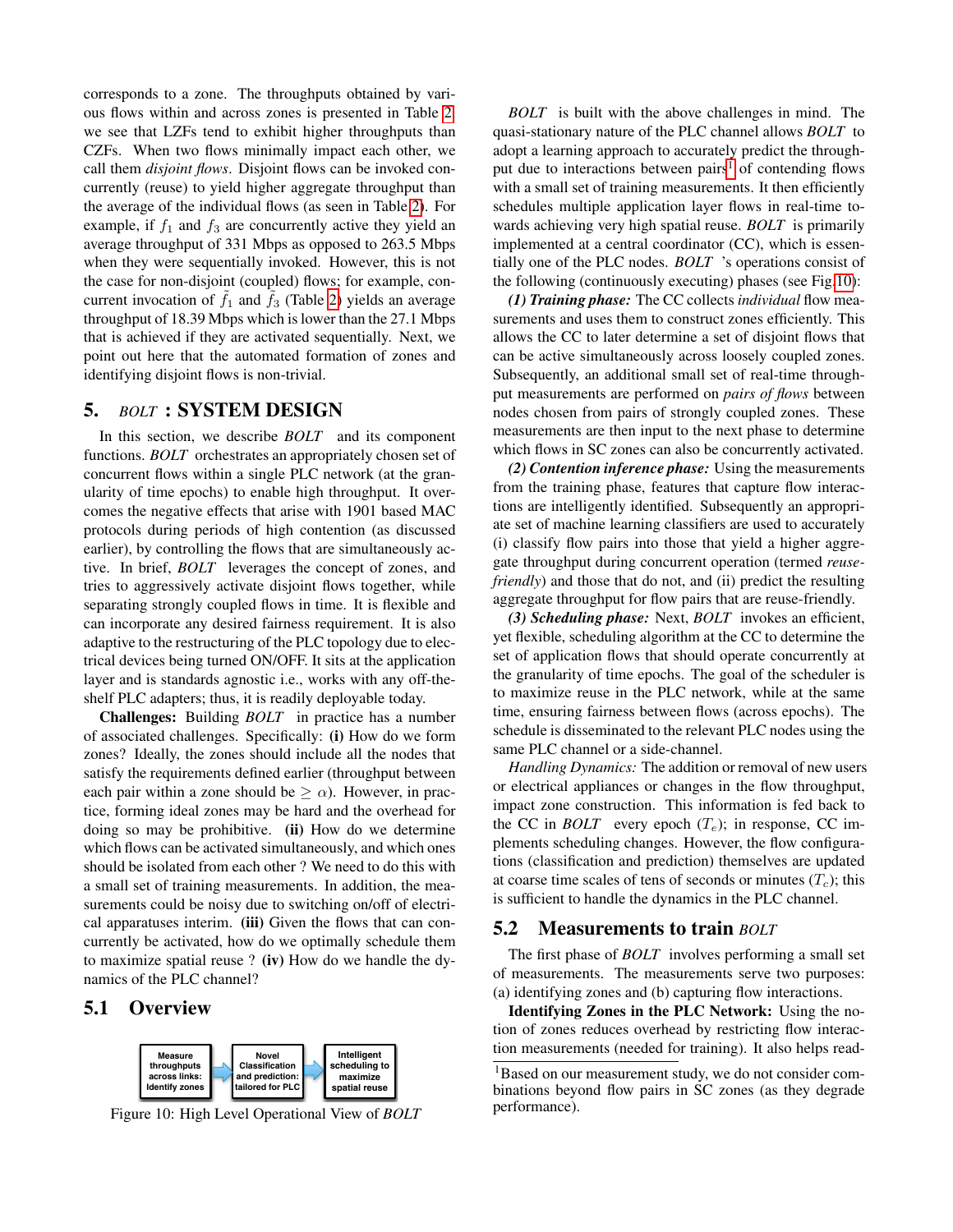corresponds to a zone. The throughputs obtained by various flows within and across zones is presented in Table [2.](#page-3-2) we see that LZFs tend to exhibit higher throughputs than CZFs. When two flows minimally impact each other, we call them *disjoint flows*. Disjoint flows can be invoked concurrently (reuse) to yield higher aggregate throughput than the average of the individual flows (as seen in Table [2\)](#page-3-2). For example, if  $f_1$  and  $f_3$  are concurrently active they yield an average throughput of 331 Mbps as opposed to 263.5 Mbps when they were sequentially invoked. However, this is not the case for non-disjoint (coupled) flows; for example, concurrent invocation of  $\hat{f}_1$  and  $\hat{f}_3$  (Table [2\)](#page-3-2) yields an average throughput of 18.39 Mbps which is lower than the 27.1 Mbps that is achieved if they are activated sequentially. Next, we point out here that the automated formation of zones and identifying disjoint flows is non-trivial.

# <span id="page-5-0"></span>5. *BOLT* : SYSTEM DESIGN

In this section, we describe *BOLT* and its component functions. *BOLT* orchestrates an appropriately chosen set of concurrent flows within a single PLC network (at the granularity of time epochs) to enable high throughput. It overcomes the negative effects that arise with 1901 based MAC protocols during periods of high contention (as discussed earlier), by controlling the flows that are simultaneously active. In brief, *BOLT* leverages the concept of zones, and tries to aggressively activate disjoint flows together, while separating strongly coupled flows in time. It is flexible and can incorporate any desired fairness requirement. It is also adaptive to the restructuring of the PLC topology due to electrical devices being turned ON/OFF. It sits at the application layer and is standards agnostic i.e., works with any off-theshelf PLC adapters; thus, it is readily deployable today.

Challenges: Building *BOLT* in practice has a number of associated challenges. Specifically: (i) How do we form zones? Ideally, the zones should include all the nodes that satisfy the requirements defined earlier (throughput between each pair within a zone should be  $> \alpha$ ). However, in practice, forming ideal zones may be hard and the overhead for doing so may be prohibitive. (ii) How do we determine which flows can be activated simultaneously, and which ones should be isolated from each other ? We need to do this with a small set of training measurements. In addition, the measurements could be noisy due to switching on/off of electrical apparatuses interim. (iii) Given the flows that can concurrently be activated, how do we optimally schedule them to maximize spatial reuse ? (iv) How do we handle the dynamics of the PLC channel?

#### <span id="page-5-2"></span>5.1 Overview



Figure 10: High Level Operational View of *BOLT*

*BOLT* is built with the above challenges in mind. The quasi-stationary nature of the PLC channel allows *BOLT* to adopt a learning approach to accurately predict the through-put due to interactions between pairs<sup>[1](#page-5-1)</sup> of contending flows with a small set of training measurements. It then efficiently schedules multiple application layer flows in real-time towards achieving very high spatial reuse. *BOLT* is primarily implemented at a central coordinator (CC), which is essentially one of the PLC nodes. *BOLT* 's operations consist of the following (continuously executing) phases (see Fig[.10\)](#page-5-2):

*(1) Training phase:* The CC collects *individual* flow measurements and uses them to construct zones efficiently. This allows the CC to later determine a set of disjoint flows that can be active simultaneously across loosely coupled zones. Subsequently, an additional small set of real-time throughput measurements are performed on *pairs of flows* between nodes chosen from pairs of strongly coupled zones. These measurements are then input to the next phase to determine which flows in SC zones can also be concurrently activated.

*(2) Contention inference phase:* Using the measurements from the training phase, features that capture flow interactions are intelligently identified. Subsequently an appropriate set of machine learning classifiers are used to accurately (i) classify flow pairs into those that yield a higher aggregate throughput during concurrent operation (termed *reusefriendly*) and those that do not, and (ii) predict the resulting aggregate throughput for flow pairs that are reuse-friendly.

*(3) Scheduling phase:* Next, *BOLT* invokes an efficient, yet flexible, scheduling algorithm at the CC to determine the set of application flows that should operate concurrently at the granularity of time epochs. The goal of the scheduler is to maximize reuse in the PLC network, while at the same time, ensuring fairness between flows (across epochs). The schedule is disseminated to the relevant PLC nodes using the same PLC channel or a side-channel.

*Handling Dynamics:* The addition or removal of new users or electrical appliances or changes in the flow throughput, impact zone construction. This information is fed back to the CC in *BOLT* every epoch  $(T_e)$ ; in response, CC implements scheduling changes. However, the flow configurations (classification and prediction) themselves are updated at coarse time scales of tens of seconds or minutes  $(T_c)$ ; this is sufficient to handle the dynamics in the PLC channel.

#### 5.2 Measurements to train *BOLT*

The first phase of *BOLT* involves performing a small set of measurements. The measurements serve two purposes: (a) identifying zones and (b) capturing flow interactions.

Identifying Zones in the PLC Network: Using the notion of zones reduces overhead by restricting flow interaction measurements (needed for training). It also helps read-

<span id="page-5-1"></span><sup>&</sup>lt;sup>1</sup>Based on our measurement study, we do not consider combinations beyond flow pairs in SC zones (as they degrade performance).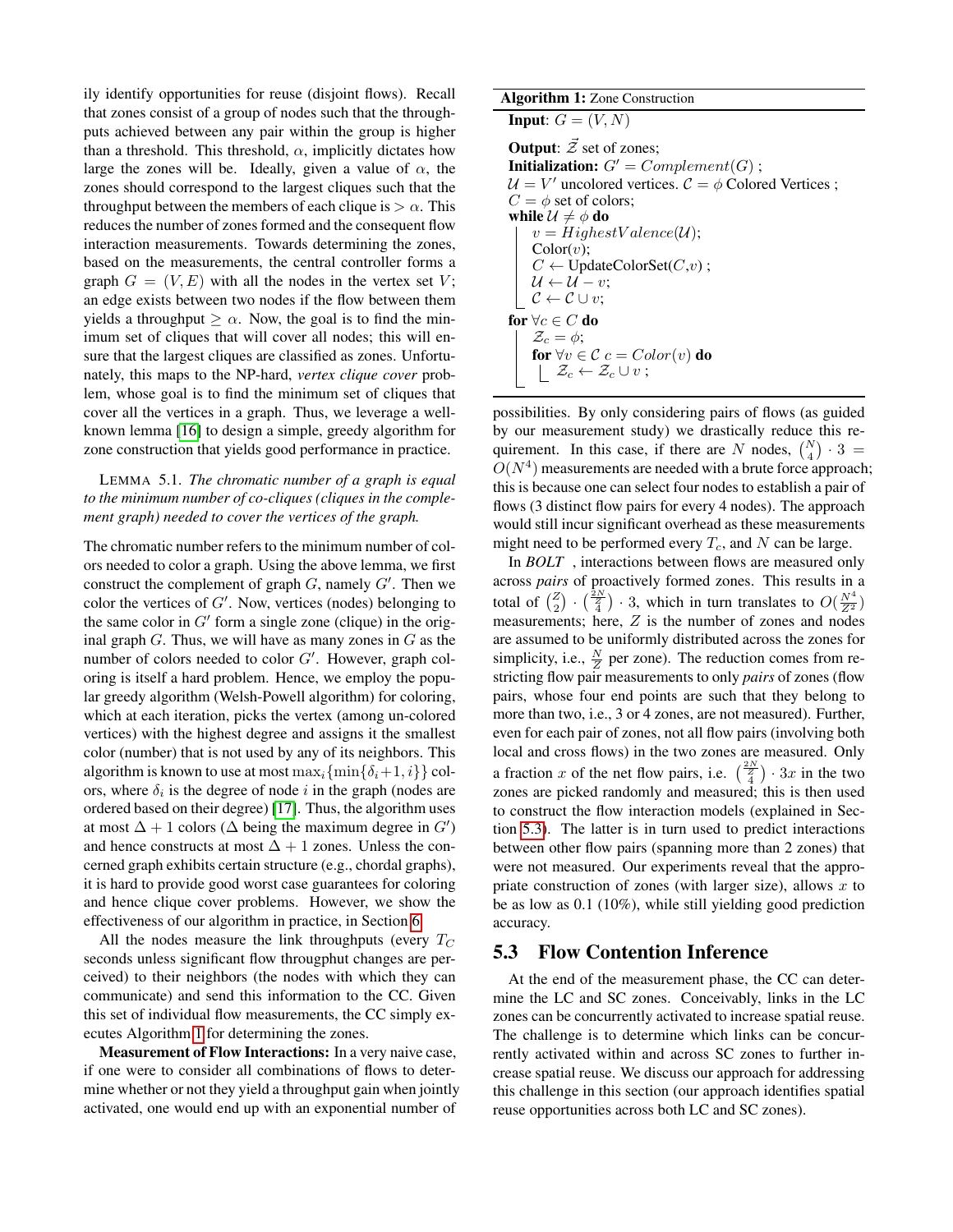ily identify opportunities for reuse (disjoint flows). Recall that zones consist of a group of nodes such that the throughputs achieved between any pair within the group is higher than a threshold. This threshold,  $\alpha$ , implicitly dictates how large the zones will be. Ideally, given a value of  $\alpha$ , the zones should correspond to the largest cliques such that the throughput between the members of each clique is  $> \alpha$ . This reduces the number of zones formed and the consequent flow interaction measurements. Towards determining the zones, based on the measurements, the central controller forms a graph  $G = (V, E)$  with all the nodes in the vertex set V; an edge exists between two nodes if the flow between them yields a throughput  $\geq \alpha$ . Now, the goal is to find the minimum set of cliques that will cover all nodes; this will ensure that the largest cliques are classified as zones. Unfortunately, this maps to the NP-hard, *vertex clique cover* problem, whose goal is to find the minimum set of cliques that cover all the vertices in a graph. Thus, we leverage a wellknown lemma [\[16\]](#page-12-15) to design a simple, greedy algorithm for zone construction that yields good performance in practice.

#### LEMMA 5.1. *The chromatic number of a graph is equal to the minimum number of co-cliques (cliques in the complement graph) needed to cover the vertices of the graph.*

The chromatic number refers to the minimum number of colors needed to color a graph. Using the above lemma, we first construct the complement of graph  $G$ , namely  $G'$ . Then we color the vertices of  $G'$ . Now, vertices (nodes) belonging to the same color in  $G'$  form a single zone (clique) in the original graph  $G$ . Thus, we will have as many zones in  $G$  as the number of colors needed to color  $G'$ . However, graph coloring is itself a hard problem. Hence, we employ the popular greedy algorithm (Welsh-Powell algorithm) for coloring, which at each iteration, picks the vertex (among un-colored vertices) with the highest degree and assigns it the smallest color (number) that is not used by any of its neighbors. This algorithm is known to use at most  $\max_i{\min\{\delta_i+1, i\}}$  colors, where  $\delta_i$  is the degree of node i in the graph (nodes are ordered based on their degree) [\[17\]](#page-12-16). Thus, the algorithm uses at most  $\Delta + 1$  colors ( $\Delta$  being the maximum degree in  $G'$ ) and hence constructs at most  $\Delta + 1$  zones. Unless the concerned graph exhibits certain structure (e.g., chordal graphs), it is hard to provide good worst case guarantees for coloring and hence clique cover problems. However, we show the effectiveness of our algorithm in practice, in Section [6.](#page-9-0)

All the nodes measure the link throughputs (every  $T_C$ seconds unless significant flow througphut changes are perceived) to their neighbors (the nodes with which they can communicate) and send this information to the CC. Given this set of individual flow measurements, the CC simply executes Algorithm [1](#page-6-0) for determining the zones.

Measurement of Flow Interactions: In a very naive case, if one were to consider all combinations of flows to determine whether or not they yield a throughput gain when jointly activated, one would end up with an exponential number of

#### <span id="page-6-0"></span>Algorithm 1: Zone Construction **Input:**  $G = (V, N)$ **Output:**  $\vec{z}$  set of zones; **Initialization:**  $G' = Complement(G)$ ;  $U = V'$  uncolored vertices.  $C = \phi$  Colored Vertices;  $C = \phi$  set of colors; while  $\mathcal{U} \neq \phi$  do  $v = HighestValue(CU);$  $Color(v);$  $C \leftarrow$  UpdateColorSet( $C, v$ );  $U \leftarrow U - v;$  $\mathcal{C} \leftarrow \mathcal{C} \cup v;$ for  $\forall c \in C$  do  $\mathcal{Z}_c = \phi;$ for  $\forall v \in \mathcal{C}$   $c = Color(v)$  do

 $|\quad \mathcal{Z}_c \leftarrow \mathcal{Z}_c \cup v$ ;

possibilities. By only considering pairs of flows (as guided by our measurement study) we drastically reduce this requirement. In this case, if there are N nodes,  $\binom{N}{4} \cdot 3 =$  $O(N<sup>4</sup>)$  measurements are needed with a brute force approach; this is because one can select four nodes to establish a pair of flows (3 distinct flow pairs for every 4 nodes). The approach would still incur significant overhead as these measurements might need to be performed every  $T_c$ , and N can be large.

In *BOLT* , interactions between flows are measured only across *pairs* of proactively formed zones. This results in a total of  $\binom{Z}{2} \cdot \binom{\frac{2N}{Z}}{4} \cdot 3$ , which in turn translates to  $O(\frac{N^4}{Z^2})$ measurements; here,  $Z$  is the number of zones and nodes are assumed to be uniformly distributed across the zones for simplicity, i.e.,  $\frac{N}{Z}$  per zone). The reduction comes from restricting flow pair measurements to only *pairs* of zones (flow pairs, whose four end points are such that they belong to more than two, i.e., 3 or 4 zones, are not measured). Further, even for each pair of zones, not all flow pairs (involving both local and cross flows) in the two zones are measured. Only a fraction x of the net flow pairs, i.e.  $\left(\frac{2N}{4}\right) \cdot 3x$  in the two zones are picked randomly and measured; this is then used to construct the flow interaction models (explained in Section [5.3\)](#page-6-1). The latter is in turn used to predict interactions between other flow pairs (spanning more than 2 zones) that were not measured. Our experiments reveal that the appropriate construction of zones (with larger size), allows  $x$  to be as low as 0.1 (10%), while still yielding good prediction accuracy.

#### <span id="page-6-1"></span>5.3 Flow Contention Inference

At the end of the measurement phase, the CC can determine the LC and SC zones. Conceivably, links in the LC zones can be concurrently activated to increase spatial reuse. The challenge is to determine which links can be concurrently activated within and across SC zones to further increase spatial reuse. We discuss our approach for addressing this challenge in this section (our approach identifies spatial reuse opportunities across both LC and SC zones).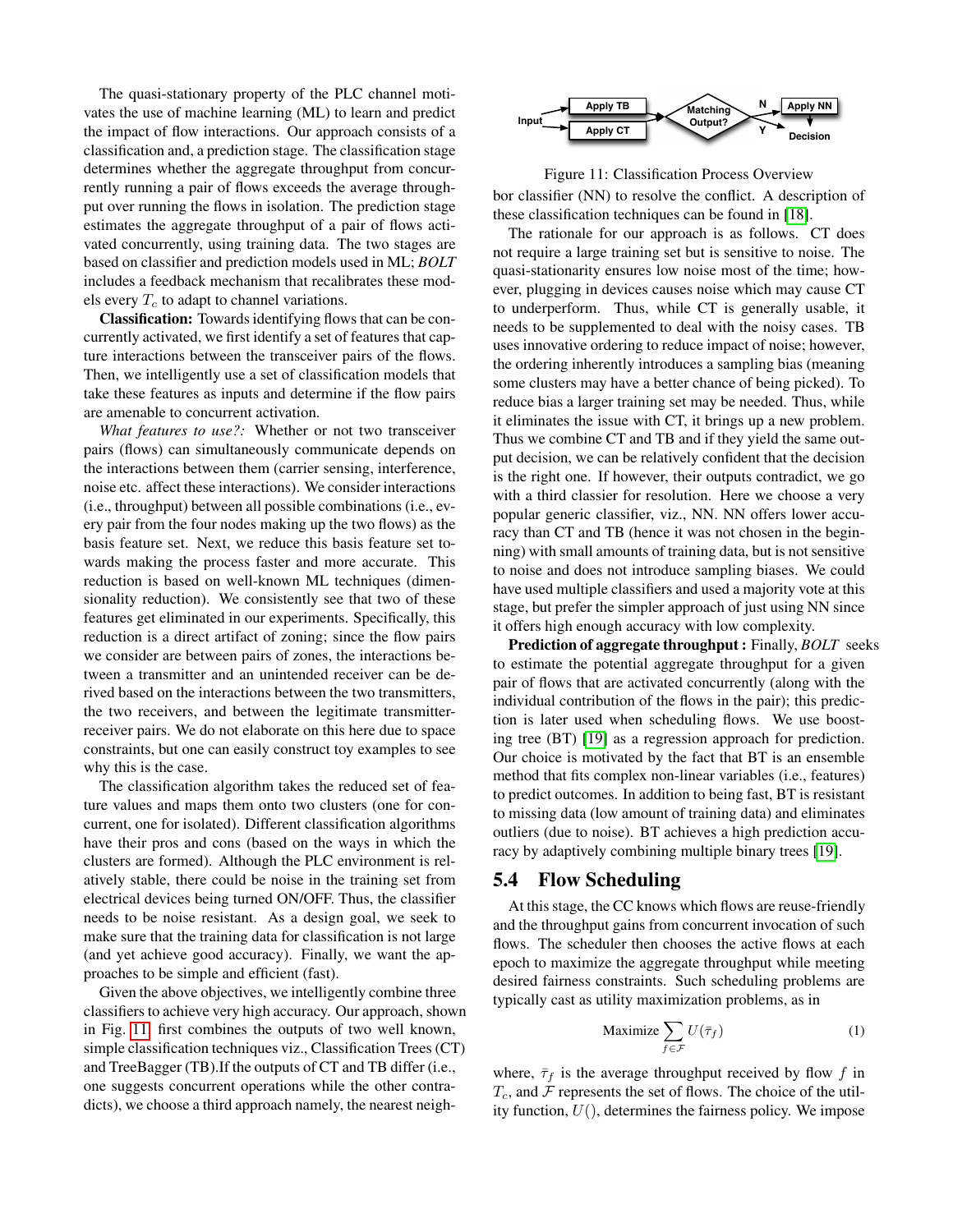The quasi-stationary property of the PLC channel motivates the use of machine learning (ML) to learn and predict the impact of flow interactions. Our approach consists of a classification and, a prediction stage. The classification stage determines whether the aggregate throughput from concurrently running a pair of flows exceeds the average throughput over running the flows in isolation. The prediction stage estimates the aggregate throughput of a pair of flows activated concurrently, using training data. The two stages are based on classifier and prediction models used in ML; *BOLT* includes a feedback mechanism that recalibrates these models every  $T_c$  to adapt to channel variations.

Classification: Towards identifying flows that can be concurrently activated, we first identify a set of features that capture interactions between the transceiver pairs of the flows. Then, we intelligently use a set of classification models that take these features as inputs and determine if the flow pairs are amenable to concurrent activation.

*What features to use?:* Whether or not two transceiver pairs (flows) can simultaneously communicate depends on the interactions between them (carrier sensing, interference, noise etc. affect these interactions). We consider interactions (i.e., throughput) between all possible combinations (i.e., every pair from the four nodes making up the two flows) as the basis feature set. Next, we reduce this basis feature set towards making the process faster and more accurate. This reduction is based on well-known ML techniques (dimensionality reduction). We consistently see that two of these features get eliminated in our experiments. Specifically, this reduction is a direct artifact of zoning; since the flow pairs we consider are between pairs of zones, the interactions between a transmitter and an unintended receiver can be derived based on the interactions between the two transmitters, the two receivers, and between the legitimate transmitterreceiver pairs. We do not elaborate on this here due to space constraints, but one can easily construct toy examples to see why this is the case.

The classification algorithm takes the reduced set of feature values and maps them onto two clusters (one for concurrent, one for isolated). Different classification algorithms have their pros and cons (based on the ways in which the clusters are formed). Although the PLC environment is relatively stable, there could be noise in the training set from electrical devices being turned ON/OFF. Thus, the classifier needs to be noise resistant. As a design goal, we seek to make sure that the training data for classification is not large (and yet achieve good accuracy). Finally, we want the approaches to be simple and efficient (fast).

Given the above objectives, we intelligently combine three classifiers to achieve very high accuracy. Our approach, shown in Fig. [11,](#page-7-0) first combines the outputs of two well known, simple classification techniques viz., Classification Trees (CT) and TreeBagger (TB).If the outputs of CT and TB differ (i.e., one suggests concurrent operations while the other contradicts), we choose a third approach namely, the nearest neigh-

<span id="page-7-0"></span>

Figure 11: Classification Process Overview bor classifier (NN) to resolve the conflict. A description of these classification techniques can be found in [\[18\]](#page-12-17).

The rationale for our approach is as follows. CT does not require a large training set but is sensitive to noise. The quasi-stationarity ensures low noise most of the time; however, plugging in devices causes noise which may cause CT to underperform. Thus, while CT is generally usable, it needs to be supplemented to deal with the noisy cases. TB uses innovative ordering to reduce impact of noise; however, the ordering inherently introduces a sampling bias (meaning some clusters may have a better chance of being picked). To reduce bias a larger training set may be needed. Thus, while it eliminates the issue with CT, it brings up a new problem. Thus we combine CT and TB and if they yield the same output decision, we can be relatively confident that the decision is the right one. If however, their outputs contradict, we go with a third classier for resolution. Here we choose a very popular generic classifier, viz., NN. NN offers lower accuracy than CT and TB (hence it was not chosen in the beginning) with small amounts of training data, but is not sensitive to noise and does not introduce sampling biases. We could have used multiple classifiers and used a majority vote at this stage, but prefer the simpler approach of just using NN since it offers high enough accuracy with low complexity.

Prediction of aggregate throughput : Finally, *BOLT* seeks to estimate the potential aggregate throughput for a given pair of flows that are activated concurrently (along with the individual contribution of the flows in the pair); this prediction is later used when scheduling flows. We use boosting tree (BT) [\[19\]](#page-12-18) as a regression approach for prediction. Our choice is motivated by the fact that BT is an ensemble method that fits complex non-linear variables (i.e., features) to predict outcomes. In addition to being fast, BT is resistant to missing data (low amount of training data) and eliminates outliers (due to noise). BT achieves a high prediction accuracy by adaptively combining multiple binary trees [\[19\]](#page-12-18).

## 5.4 Flow Scheduling

At this stage, the CC knows which flows are reuse-friendly and the throughput gains from concurrent invocation of such flows. The scheduler then chooses the active flows at each epoch to maximize the aggregate throughput while meeting desired fairness constraints. Such scheduling problems are typically cast as utility maximization problems, as in

$$
\text{Maximize } \sum_{f \in \mathcal{F}} U(\bar{\tau}_f) \tag{1}
$$

where,  $\bar{\tau}_f$  is the average throughput received by flow f in  $T_c$ , and  $\mathcal F$  represents the set of flows. The choice of the utility function,  $U($ ), determines the fairness policy. We impose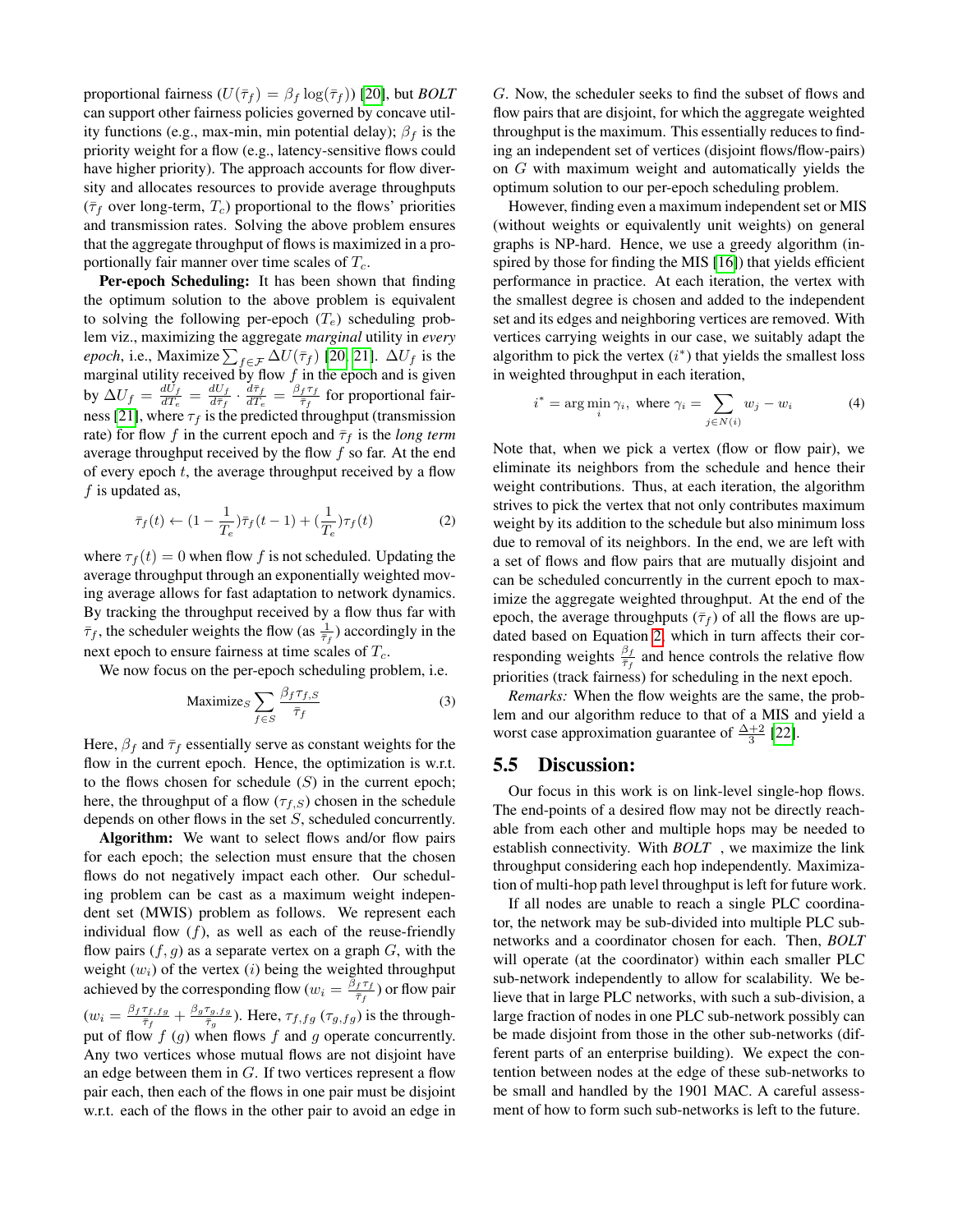proportional fairness  $(U(\bar{\tau}_f) = \beta_f \log(\bar{\tau}_f))$  [\[20\]](#page-12-19), but *BOLT* can support other fairness policies governed by concave utility functions (e.g., max-min, min potential delay);  $\beta_f$  is the priority weight for a flow (e.g., latency-sensitive flows could have higher priority). The approach accounts for flow diversity and allocates resources to provide average throughputs  $(\bar{\tau}_f$  over long-term,  $T_c$ ) proportional to the flows' priorities and transmission rates. Solving the above problem ensures that the aggregate throughput of flows is maximized in a proportionally fair manner over time scales of  $T_c$ .

Per-epoch Scheduling: It has been shown that finding the optimum solution to the above problem is equivalent to solving the following per-epoch  $(T_e)$  scheduling problem viz., maximizing the aggregate *marginal* utility in *every epoch*, i.e., Maximize  $\sum_{f \in \mathcal{F}} \Delta U(\bar{\tau}_f)$  [\[20,](#page-12-19) [21\]](#page-12-20).  $\Delta U_f$  is the marginal utility received by flow  $f$  in the epoch and is given by  $\Delta U_f = \frac{dU_f}{dT_c}$  $\frac{dU_{f}}{dT_{e}}=\frac{dU_{f}}{d\bar{\tau}_{f}}$  $\frac{dU_f}{d\bar\tau_f}\cdot\frac{d\bar\tau_f}{dT_\epsilon}$  $\frac{d\bar{\tau}_f}{dT_e} = \frac{\beta_f \tau_f}{\bar{\tau}_f}$  $\frac{f^{T}f}{\bar{\tau}_{f}}$  for proportional fair-ness [\[21\]](#page-12-20), where  $\tau_f$  is the predicted throughput (transmission rate) for flow f in the current epoch and  $\bar{\tau}_f$  is the *long term* average throughput received by the flow  $f$  so far. At the end of every epoch  $t$ , the average throughput received by a flow  $f$  is updated as,

<span id="page-8-0"></span>
$$
\bar{\tau}_f(t) \leftarrow (1 - \frac{1}{T_e}) \bar{\tau}_f(t-1) + (\frac{1}{T_e}) \tau_f(t)
$$
\n(2)

where  $\tau_f(t) = 0$  when flow f is not scheduled. Updating the average throughput through an exponentially weighted moving average allows for fast adaptation to network dynamics. By tracking the throughput received by a flow thus far with  $\bar{\tau}_f$ , the scheduler weights the flow (as  $\frac{1}{\bar{\tau}_f}$ ) accordingly in the next epoch to ensure fairness at time scales of  $T_c$ .

We now focus on the per-epoch scheduling problem, i.e.

$$
\text{Maximize}_{S} \sum_{f \in S} \frac{\beta_f \tau_{f,S}}{\bar{\tau}_f} \tag{3}
$$

Here,  $\beta_f$  and  $\bar{\tau}_f$  essentially serve as constant weights for the flow in the current epoch. Hence, the optimization is w.r.t. to the flows chosen for schedule  $(S)$  in the current epoch; here, the throughput of a flow ( $\tau_{f,S}$ ) chosen in the schedule depends on other flows in the set S, scheduled concurrently.

Algorithm: We want to select flows and/or flow pairs for each epoch; the selection must ensure that the chosen flows do not negatively impact each other. Our scheduling problem can be cast as a maximum weight independent set (MWIS) problem as follows. We represent each individual flow  $(f)$ , as well as each of the reuse-friendly flow pairs  $(f, g)$  as a separate vertex on a graph G, with the weight  $(w_i)$  of the vertex  $(i)$  being the weighted throughput achieved by the corresponding flow ( $w_i = \frac{\beta_f \tau_f}{\bar{\tau}_i}$  $\frac{f^{\tau}f}{\bar{\tau}_f}$ ) or flow pair  $(w_i = \frac{\beta_f \tau_{f,fg}}{\bar{\tau}_{f,ef}})$  $\frac{\tau_{f,fg}}{\bar{\tau}_f}+\frac{\beta_g\tau_{g,fg}}{\bar{\tau}_g}$  $(\frac{\tau_{g,fg}}{\bar{\tau}_{g}})$ . Here,  $\tau_{f,fg}$  ( $\tau_{g,fg}$ ) is the throughput of flow  $f(g)$  when flows  $f$  and  $g$  operate concurrently. Any two vertices whose mutual flows are not disjoint have an edge between them in  $G$ . If two vertices represent a flow pair each, then each of the flows in one pair must be disjoint w.r.t. each of the flows in the other pair to avoid an edge in G. Now, the scheduler seeks to find the subset of flows and flow pairs that are disjoint, for which the aggregate weighted throughput is the maximum. This essentially reduces to finding an independent set of vertices (disjoint flows/flow-pairs) on G with maximum weight and automatically yields the optimum solution to our per-epoch scheduling problem.

However, finding even a maximum independent set or MIS (without weights or equivalently unit weights) on general graphs is NP-hard. Hence, we use a greedy algorithm (inspired by those for finding the MIS [\[16\]](#page-12-15)) that yields efficient performance in practice. At each iteration, the vertex with the smallest degree is chosen and added to the independent set and its edges and neighboring vertices are removed. With vertices carrying weights in our case, we suitably adapt the algorithm to pick the vertex  $(i^*)$  that yields the smallest loss in weighted throughput in each iteration,

$$
i^* = \arg\min_i \gamma_i, \text{ where } \gamma_i = \sum_{j \in N(i)} w_j - w_i \tag{4}
$$

Note that, when we pick a vertex (flow or flow pair), we eliminate its neighbors from the schedule and hence their weight contributions. Thus, at each iteration, the algorithm strives to pick the vertex that not only contributes maximum weight by its addition to the schedule but also minimum loss due to removal of its neighbors. In the end, we are left with a set of flows and flow pairs that are mutually disjoint and can be scheduled concurrently in the current epoch to maximize the aggregate weighted throughput. At the end of the epoch, the average throughputs ( $\bar{\tau}_f$ ) of all the flows are updated based on Equation [2,](#page-8-0) which in turn affects their corresponding weights  $\frac{\beta_f}{\bar{\tau}_f}$  and hence controls the relative flow priorities (track fairness) for scheduling in the next epoch.

*Remarks:* When the flow weights are the same, the problem and our algorithm reduce to that of a MIS and yield a worst case approximation guarantee of  $\frac{\Delta+2}{3}$  [\[22\]](#page-12-21).

## 5.5 Discussion:

Our focus in this work is on link-level single-hop flows. The end-points of a desired flow may not be directly reachable from each other and multiple hops may be needed to establish connectivity. With *BOLT* , we maximize the link throughput considering each hop independently. Maximization of multi-hop path level throughput is left for future work.

If all nodes are unable to reach a single PLC coordinator, the network may be sub-divided into multiple PLC subnetworks and a coordinator chosen for each. Then, *BOLT* will operate (at the coordinator) within each smaller PLC sub-network independently to allow for scalability. We believe that in large PLC networks, with such a sub-division, a large fraction of nodes in one PLC sub-network possibly can be made disjoint from those in the other sub-networks (different parts of an enterprise building). We expect the contention between nodes at the edge of these sub-networks to be small and handled by the 1901 MAC. A careful assessment of how to form such sub-networks is left to the future.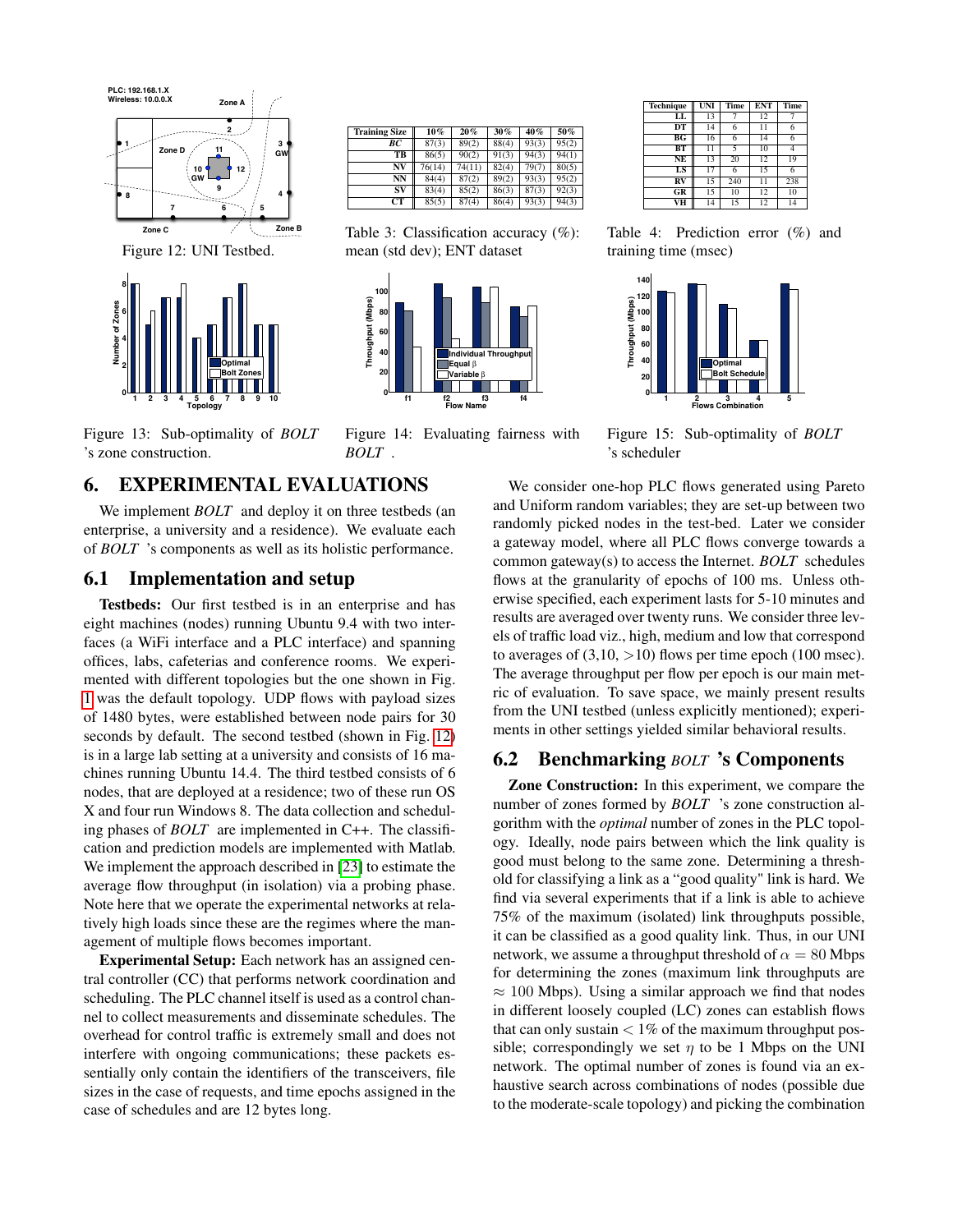<span id="page-9-2"></span><span id="page-9-1"></span>

| <b>Training Size</b> | $10\%$ | 20%    | 30%   | 40%   | 50%   |
|----------------------|--------|--------|-------|-------|-------|
| BС                   | 87(3)  | 89(2)  | 88(4) | 93(3) | 95(2) |
| TB                   | 86(5)  | 90(2)  | 91(3) | 94(3) | 94(1) |
| NV                   | 76(14) | 74(11) | 82(4) | 79(7) | 80(5) |
| NN                   | 84(4)  | 87(2)  | 89(2) | 93(3) | 95(2) |
| SV                   | 83(4)  | 85(2)  | 86(3) | 87(3) | 92(3) |
| CT                   | 85(5)  | 87(4)  | 86(4) | 93(3) | 94(3) |

Table 3: Classification accuracy  $(\%)$ : mean (std dev); ENT dataset



Figure 13: Sub-optimality of *BOLT* 's zone construction.

Figure 14: Evaluating fairness with *BOLT* .

| <b>Technique</b> | UNI | <b>Time</b> | ENT | Time |
|------------------|-----|-------------|-----|------|
| LL               | 13  |             | 12  |      |
| DТ               | 14  | 6           | 11  | 6    |
| ВG               | 16  | 6           | 14  | 6    |
| BT               | 11  | 5           | 10  |      |
| NE               | 13  | 20          | 12  | 19   |
| LS               | 17  | 6           | 15  | 6    |
| RV               | 15  | 240         | 11  | 238  |
| GR               | 15  | 10          | 12  | 10   |
| VН               | 14  | 15          | 12  | 14   |

Table 4: Prediction error (%) and training time (msec)



Figure 15: Sub-optimality of *BOLT* 's scheduler

# <span id="page-9-0"></span>6. EXPERIMENTAL EVALUATIONS

We implement *BOLT* and deploy it on three testbeds (an enterprise, a university and a residence). We evaluate each of *BOLT* 's components as well as its holistic performance.

#### 6.1 Implementation and setup

Testbeds: Our first testbed is in an enterprise and has eight machines (nodes) running Ubuntu 9.4 with two interfaces (a WiFi interface and a PLC interface) and spanning offices, labs, cafeterias and conference rooms. We experimented with different topologies but the one shown in Fig. [1](#page-3-0) was the default topology. UDP flows with payload sizes of 1480 bytes, were established between node pairs for 30 seconds by default. The second testbed (shown in Fig. [12\)](#page-9-1) is in a large lab setting at a university and consists of 16 machines running Ubuntu 14.4. The third testbed consists of 6 nodes, that are deployed at a residence; two of these run OS X and four run Windows 8. The data collection and scheduling phases of *BOLT* are implemented in C++. The classification and prediction models are implemented with Matlab. We implement the approach described in [\[23\]](#page-12-22) to estimate the average flow throughput (in isolation) via a probing phase. Note here that we operate the experimental networks at relatively high loads since these are the regimes where the management of multiple flows becomes important.

Experimental Setup: Each network has an assigned central controller (CC) that performs network coordination and scheduling. The PLC channel itself is used as a control channel to collect measurements and disseminate schedules. The overhead for control traffic is extremely small and does not interfere with ongoing communications; these packets essentially only contain the identifiers of the transceivers, file sizes in the case of requests, and time epochs assigned in the case of schedules and are 12 bytes long.

We consider one-hop PLC flows generated using Pareto and Uniform random variables; they are set-up between two randomly picked nodes in the test-bed. Later we consider a gateway model, where all PLC flows converge towards a common gateway(s) to access the Internet. *BOLT* schedules flows at the granularity of epochs of 100 ms. Unless otherwise specified, each experiment lasts for 5-10 minutes and results are averaged over twenty runs. We consider three levels of traffic load viz., high, medium and low that correspond to averages of  $(3,10, >10)$  flows per time epoch (100 msec). The average throughput per flow per epoch is our main metric of evaluation. To save space, we mainly present results from the UNI testbed (unless explicitly mentioned); experiments in other settings yielded similar behavioral results.

#### 6.2 Benchmarking *BOLT* 's Components

Zone Construction: In this experiment, we compare the number of zones formed by *BOLT* 's zone construction algorithm with the *optimal* number of zones in the PLC topology. Ideally, node pairs between which the link quality is good must belong to the same zone. Determining a threshold for classifying a link as a "good quality" link is hard. We find via several experiments that if a link is able to achieve 75% of the maximum (isolated) link throughputs possible, it can be classified as a good quality link. Thus, in our UNI network, we assume a throughput threshold of  $\alpha = 80$  Mbps for determining the zones (maximum link throughputs are  $\approx 100$  Mbps). Using a similar approach we find that nodes in different loosely coupled (LC) zones can establish flows that can only sustain  $\langle 1\%$  of the maximum throughput possible; correspondingly we set  $\eta$  to be 1 Mbps on the UNI network. The optimal number of zones is found via an exhaustive search across combinations of nodes (possible due to the moderate-scale topology) and picking the combination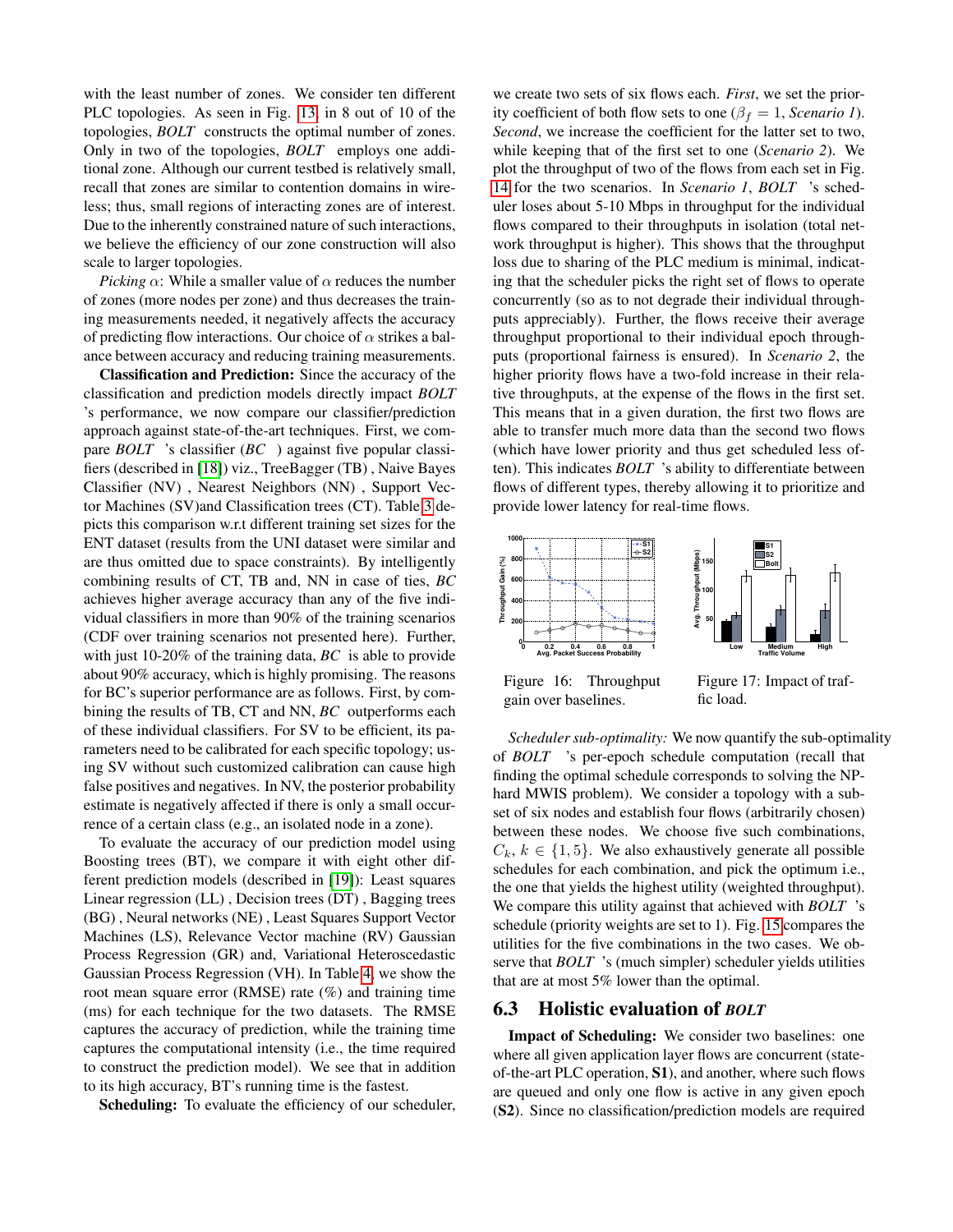with the least number of zones. We consider ten different PLC topologies. As seen in Fig. [13,](#page-9-2) in 8 out of 10 of the topologies, *BOLT* constructs the optimal number of zones. Only in two of the topologies, *BOLT* employs one additional zone. Although our current testbed is relatively small, recall that zones are similar to contention domains in wireless; thus, small regions of interacting zones are of interest. Due to the inherently constrained nature of such interactions, we believe the efficiency of our zone construction will also scale to larger topologies.

*Picking*  $\alpha$ : While a smaller value of  $\alpha$  reduces the number of zones (more nodes per zone) and thus decreases the training measurements needed, it negatively affects the accuracy of predicting flow interactions. Our choice of  $\alpha$  strikes a balance between accuracy and reducing training measurements.

Classification and Prediction: Since the accuracy of the classification and prediction models directly impact *BOLT* 's performance, we now compare our classifier/prediction approach against state-of-the-art techniques. First, we compare *BOLT* 's classifier (*BC* ) against five popular classifiers (described in [\[18\]](#page-12-17)) viz., TreeBagger (TB) , Naive Bayes Classifier (NV) , Nearest Neighbors (NN) , Support Vector Machines (SV)and Classification trees (CT). Table [3](#page-9-1) depicts this comparison w.r.t different training set sizes for the ENT dataset (results from the UNI dataset were similar and are thus omitted due to space constraints). By intelligently combining results of CT, TB and, NN in case of ties, *BC* achieves higher average accuracy than any of the five individual classifiers in more than 90% of the training scenarios (CDF over training scenarios not presented here). Further, with just 10-20% of the training data, *BC* is able to provide about 90% accuracy, which is highly promising. The reasons for BC's superior performance are as follows. First, by combining the results of TB, CT and NN, *BC* outperforms each of these individual classifiers. For SV to be efficient, its parameters need to be calibrated for each specific topology; using SV without such customized calibration can cause high false positives and negatives. In NV, the posterior probability estimate is negatively affected if there is only a small occurrence of a certain class (e.g., an isolated node in a zone).

To evaluate the accuracy of our prediction model using Boosting trees (BT), we compare it with eight other different prediction models (described in [\[19\]](#page-12-18)): Least squares Linear regression (LL) , Decision trees (DT) , Bagging trees (BG) , Neural networks (NE) , Least Squares Support Vector Machines (LS), Relevance Vector machine (RV) Gaussian Process Regression (GR) and, Variational Heteroscedastic Gaussian Process Regression (VH). In Table [4,](#page-9-1) we show the root mean square error (RMSE) rate (%) and training time (ms) for each technique for the two datasets. The RMSE captures the accuracy of prediction, while the training time captures the computational intensity (i.e., the time required to construct the prediction model). We see that in addition to its high accuracy, BT's running time is the fastest.

Scheduling: To evaluate the efficiency of our scheduler,

we create two sets of six flows each. *First*, we set the priority coefficient of both flow sets to one ( $\beta_f = 1$ , *Scenario 1*). *Second*, we increase the coefficient for the latter set to two, while keeping that of the first set to one (*Scenario 2*). We plot the throughput of two of the flows from each set in Fig. [14](#page-9-2) for the two scenarios. In *Scenario 1*, *BOLT* 's scheduler loses about 5-10 Mbps in throughput for the individual flows compared to their throughputs in isolation (total network throughput is higher). This shows that the throughput loss due to sharing of the PLC medium is minimal, indicating that the scheduler picks the right set of flows to operate concurrently (so as to not degrade their individual throughputs appreciably). Further, the flows receive their average throughput proportional to their individual epoch throughputs (proportional fairness is ensured). In *Scenario 2*, the higher priority flows have a two-fold increase in their relative throughputs, at the expense of the flows in the first set. This means that in a given duration, the first two flows are able to transfer much more data than the second two flows (which have lower priority and thus get scheduled less often). This indicates *BOLT* 's ability to differentiate between flows of different types, thereby allowing it to prioritize and provide lower latency for real-time flows.

<span id="page-10-0"></span>

*Scheduler sub-optimality:* We now quantify the sub-optimality of *BOLT* 's per-epoch schedule computation (recall that finding the optimal schedule corresponds to solving the NPhard MWIS problem). We consider a topology with a subset of six nodes and establish four flows (arbitrarily chosen) between these nodes. We choose five such combinations,  $C_k, k \in \{1, 5\}$ . We also exhaustively generate all possible schedules for each combination, and pick the optimum i.e., the one that yields the highest utility (weighted throughput). We compare this utility against that achieved with *BOLT* 's schedule (priority weights are set to 1). Fig. [15](#page-9-2) compares the utilities for the five combinations in the two cases. We observe that *BOLT* 's (much simpler) scheduler yields utilities that are at most 5% lower than the optimal.

## 6.3 Holistic evaluation of *BOLT*

Impact of Scheduling: We consider two baselines: one where all given application layer flows are concurrent (stateof-the-art PLC operation, S1), and another, where such flows are queued and only one flow is active in any given epoch (S2). Since no classification/prediction models are required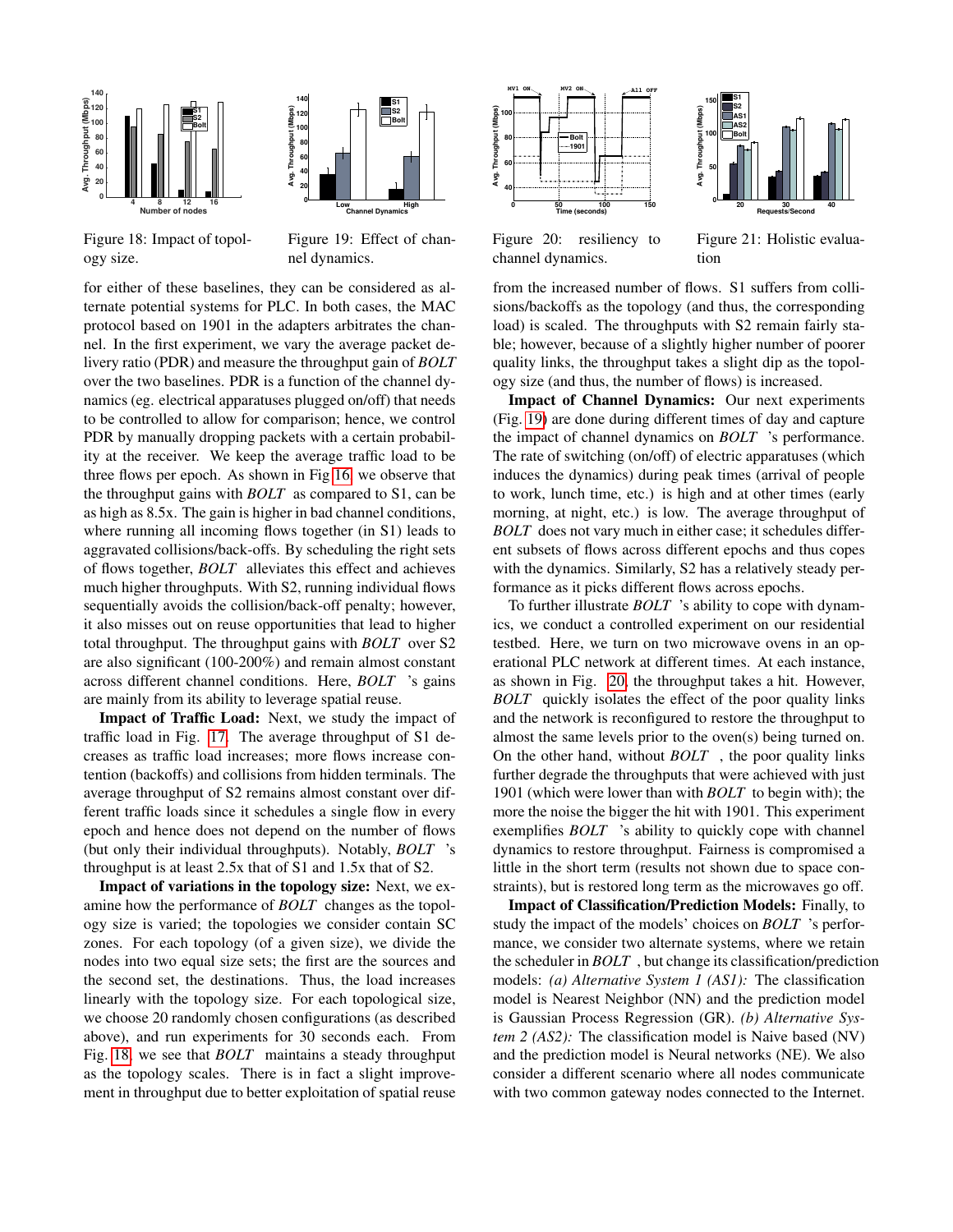<span id="page-11-0"></span>



Figure 18: Impact of topology size.

Figure 19: Effect of channel dynamics.

for either of these baselines, they can be considered as alternate potential systems for PLC. In both cases, the MAC protocol based on 1901 in the adapters arbitrates the channel. In the first experiment, we vary the average packet delivery ratio (PDR) and measure the throughput gain of *BOLT* over the two baselines. PDR is a function of the channel dynamics (eg. electrical apparatuses plugged on/off) that needs to be controlled to allow for comparison; hence, we control PDR by manually dropping packets with a certain probability at the receiver. We keep the average traffic load to be three flows per epoch. As shown in Fig [16,](#page-10-0) we observe that the throughput gains with *BOLT* as compared to S1, can be as high as 8.5x. The gain is higher in bad channel conditions, where running all incoming flows together (in S1) leads to aggravated collisions/back-offs. By scheduling the right sets of flows together, *BOLT* alleviates this effect and achieves much higher throughputs. With S2, running individual flows sequentially avoids the collision/back-off penalty; however, it also misses out on reuse opportunities that lead to higher total throughput. The throughput gains with *BOLT* over S2 are also significant (100-200%) and remain almost constant across different channel conditions. Here, *BOLT* 's gains are mainly from its ability to leverage spatial reuse.

Impact of Traffic Load: Next, we study the impact of traffic load in Fig. [17.](#page-10-0) The average throughput of S1 decreases as traffic load increases; more flows increase contention (backoffs) and collisions from hidden terminals. The average throughput of S2 remains almost constant over different traffic loads since it schedules a single flow in every epoch and hence does not depend on the number of flows (but only their individual throughputs). Notably, *BOLT* 's throughput is at least 2.5x that of S1 and 1.5x that of S2.

Impact of variations in the topology size: Next, we examine how the performance of *BOLT* changes as the topology size is varied; the topologies we consider contain SC zones. For each topology (of a given size), we divide the nodes into two equal size sets; the first are the sources and the second set, the destinations. Thus, the load increases linearly with the topology size. For each topological size, we choose 20 randomly chosen configurations (as described above), and run experiments for 30 seconds each. From Fig. [18,](#page-11-0) we see that *BOLT* maintains a steady throughput as the topology scales. There is in fact a slight improvement in throughput due to better exploitation of spatial reuse



Figure 20: resiliency to channel dynamics.

Figure 21: Holistic evaluation

from the increased number of flows. S1 suffers from collisions/backoffs as the topology (and thus, the corresponding load) is scaled. The throughputs with S2 remain fairly stable; however, because of a slightly higher number of poorer quality links, the throughput takes a slight dip as the topology size (and thus, the number of flows) is increased.

Impact of Channel Dynamics: Our next experiments (Fig. [19\)](#page-11-0) are done during different times of day and capture the impact of channel dynamics on *BOLT* 's performance. The rate of switching (on/off) of electric apparatuses (which induces the dynamics) during peak times (arrival of people to work, lunch time, etc.) is high and at other times (early morning, at night, etc.) is low. The average throughput of *BOLT* does not vary much in either case; it schedules different subsets of flows across different epochs and thus copes with the dynamics. Similarly, S2 has a relatively steady performance as it picks different flows across epochs.

To further illustrate *BOLT* 's ability to cope with dynamics, we conduct a controlled experiment on our residential testbed. Here, we turn on two microwave ovens in an operational PLC network at different times. At each instance, as shown in Fig. [20,](#page-11-0) the throughput takes a hit. However, *BOLT* quickly isolates the effect of the poor quality links and the network is reconfigured to restore the throughput to almost the same levels prior to the oven(s) being turned on. On the other hand, without *BOLT* , the poor quality links further degrade the throughputs that were achieved with just 1901 (which were lower than with *BOLT* to begin with); the more the noise the bigger the hit with 1901. This experiment exemplifies *BOLT* 's ability to quickly cope with channel dynamics to restore throughput. Fairness is compromised a little in the short term (results not shown due to space constraints), but is restored long term as the microwaves go off.

Impact of Classification/Prediction Models: Finally, to study the impact of the models' choices on *BOLT* 's performance, we consider two alternate systems, where we retain the scheduler in *BOLT* , but change its classification/prediction models: *(a) Alternative System 1 (AS1):* The classification model is Nearest Neighbor (NN) and the prediction model is Gaussian Process Regression (GR). *(b) Alternative System 2 (AS2):* The classification model is Naive based (NV) and the prediction model is Neural networks (NE). We also consider a different scenario where all nodes communicate with two common gateway nodes connected to the Internet.